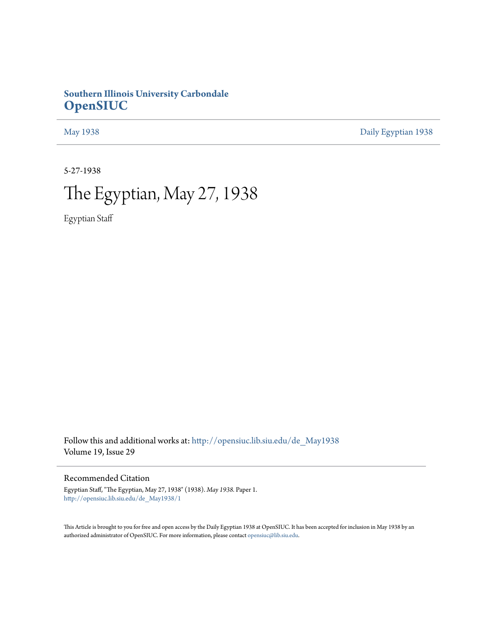## **Southern Illinois University Carbondale [OpenSIUC](http://opensiuc.lib.siu.edu?utm_source=opensiuc.lib.siu.edu%2Fde_May1938%2F1&utm_medium=PDF&utm_campaign=PDFCoverPages)**

[May 1938](http://opensiuc.lib.siu.edu/de_May1938?utm_source=opensiuc.lib.siu.edu%2Fde_May1938%2F1&utm_medium=PDF&utm_campaign=PDFCoverPages) [Daily Egyptian 1938](http://opensiuc.lib.siu.edu/de_1938?utm_source=opensiuc.lib.siu.edu%2Fde_May1938%2F1&utm_medium=PDF&utm_campaign=PDFCoverPages)

5-27-1938

## The Egyptian, May 27, 1938

Egyptian Staff

Follow this and additional works at: [http://opensiuc.lib.siu.edu/de\\_May1938](http://opensiuc.lib.siu.edu/de_May1938?utm_source=opensiuc.lib.siu.edu%2Fde_May1938%2F1&utm_medium=PDF&utm_campaign=PDFCoverPages) Volume 19, Issue 29

Recommended Citation

Egyptian Staff, "The Egyptian, May 27, 1938" (1938). *May 1938.* Paper 1. [http://opensiuc.lib.siu.edu/de\\_May1938/1](http://opensiuc.lib.siu.edu/de_May1938/1?utm_source=opensiuc.lib.siu.edu%2Fde_May1938%2F1&utm_medium=PDF&utm_campaign=PDFCoverPages)

This Article is brought to you for free and open access by the Daily Egyptian 1938 at OpenSIUC. It has been accepted for inclusion in May 1938 by an authorized administrator of OpenSIUC. For more information, please contact [opensiuc@lib.siu.edu](mailto:opensiuc@lib.siu.edu).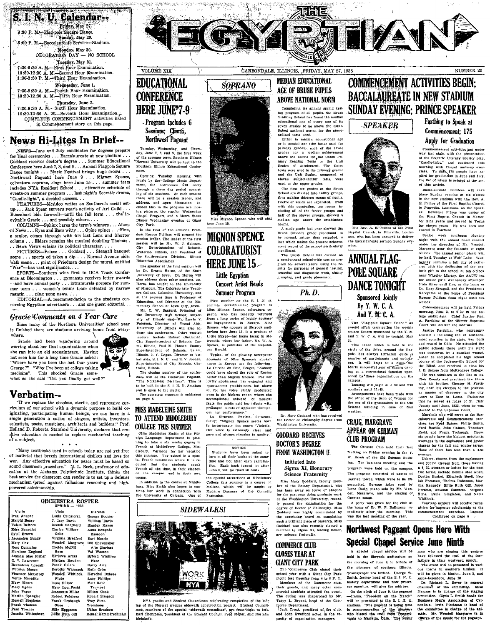S. I. N. U. Calendar: Friday, May 27. 8:30 P. M .- Flag-pole Square Dance. Sunday, May 29. g:00 P. M. Baccalaureate Service Stadium.

Monday, May 30.<br>DECORATION DAY  $-$  NO SCHOOL Tuesday, May 31. 7:30-9:30 A. M.-First Hour Examination. 10:30-12:30 A. M.-Second Hour Examination.<br>10:30-3:30 P. M.-Third Hour Examination.

Wednesday, June 1.<br>Fourth Hour Examination.  $7:30-9:30$  A, M,-10:30-12:30 A. M.-Fifth Hour Examination.

Thursday, June 2. Thursday, June 2.<br>7:30-9:30 A. M.-Sixth Hour Examination. 10:30-12:30 A. M .-- Seventh Hour Examination. COMPLETE COMMENCEMENT activities listed in Commencement story on this page.

## **News Hi-Lites In Brief--**

NEWS-June and July candidates for degrees prepare for final ceremonies ... Baccalaureate at new stadium ...<br>Goddard receives doctor's degree ... Summer Educational Conference here June 7, 8, and 9... Annual Flagpole Square<br>Dance tonight... Music Festival brings huge crowd... Northwest Pageant here June 9... Mignon Spence,<br>Northwest Pageant here June 9... Mignon Spence,<br>coloratura soprano, sings here June 15... summer term coloratura soprano, sings nero due 159... summer centrale of includes NYA Resident School ... attractive schedule of events on summer program ... lash night's Socratic drama, "Candle-light", a decided success.

FEATURES-McAdoo writes on Southern's social setup... Jack Spear surveys year's activity of Art Guild Busenhart bids farewell—until the fall term . . . the in-<br>evitable Gracie . . . and possibly others. . . .

COLUMNS-Sphinx bares the term's winners . . . Alum-Divides the section of the section of the section of the section of the section of the section of the section of the section of the section of the section of the column ... Elders remains the musical doubting Thomas. .. News Views ertains its political character...

PICTURES-Prince . . Goddard . . Steagall banquet<br>scene . . . sports ed takes a dip . . . Normal Avenue sidewalk scene ... print of Friedman design for mural, entitled -has vast significance... War

SPORTS-Southern wins first in IICA Track Conference at Bloomington . . . gymnasts receives letter awards  $-\text{and have annual part } \ldots$  intramurals prepare for sum-<br>mer term ... women's tennis team defeated by narrow<br>mer term ... women's tennis team defeated by narrow  $\Gamma$  can  $\Gamma$ . The pop news.  $\Gamma$ . The pop news  $\Gamma$  is the students con-<br>EDITORIAL—A recommendation to the students con-

cerning Egyptian advertisers . . . and one guest editorial. . .

#### **Gracie Comments on 4 Year Cure**

Since many of the Northern Universities' school year is finished there are students arriving home from everywhere.

ই?

Gracie had been wandering around worring about her final examinations when she ran into an old acquaintance. Having not seen him for a long time Gracie asked: "Where have you been the last four years<br>George?" "Why I've been at college taking  $\rm medicine''.$ medicine". This shocked Gracie somewhat so she said "Did you finally get well?"



## Verbatim--

"If we replace the obsolete, sterile, and repressive cur-In we replace the consoles, seemly and teppessive current and our school with a dynamic purpose to build or-<br>iginating, participating human beings, we can have in a single generation a nation of singers, artists, inventors Holland D. Roberts, Stanford University, declares that creative education is needed to replace mechanical teaching of a subject.  $\bullet$   $\bullet$   $\bullet$ 

'Many textbooks used in schools today are not yet free of material that breeds international dislikes and love for war. Any effective education for peace must be based on sound classroom procedure." M. L. Beck, professor of education at the Alabama Polytechnic Institute, thinks the best service the classroom can renden is to set up a defense<br>mechanism 'proof against fallacious reasoning and highpowered salesmanship.

| ORCHESTRA ROSTER<br>SPRING - 1938 |                   |                        |  |
|-----------------------------------|-------------------|------------------------|--|
| Violin                            | Viola             | Clarinat               |  |
| Ivan Annear                       | Louis Calcatorra  | George Boomer          |  |
| Harold Beary                      | J. Cary Davis     | William 'Davis         |  |
| Velsie Belford                    | Beulah Shepherd   | Stanley Hayes          |  |
| Edra Benedict                     | Clarice Villiger  | Anna Bonando           |  |
| Sybil Brown                       | Cello             | Bassoon                |  |
| Jacquelyn Bundy                   | Virginia Bradford | Earl Morris            |  |
| Mary Cox                          | Wendell Margrave  | <b>Bill Shewmaker</b>  |  |
| Rose Cummins                      | Thelds McDill     | Alto Clarinet          |  |
| Morrison England                  | Basa              | Val Wasson             |  |
| Amman Mae Fisher                  | Harlowe Arras     | <b>Bylord Wintfree</b> |  |
| C. V. Lawrence                    | Mirriam Bowden    | Harn                   |  |
| Bernadean Loveall .               | Frank Elders      | Harry Artz             |  |
| Winston Mason                     | Dorothy Warmack   | Ruth Crim              |  |
| Florence McCarrey                 | Wendell Whitlock  | Herschel Dubree        |  |
| Verne Moredith                    | Flute             | Lucy Phillips          |  |
| Mary Moore                        | Irene Dillow      | Matt Robb              |  |
| Mary Ogden                        | Mary Lou Focht    | Trumpet                |  |
| John Paper                        | Jeannette Miller  | Milton Cook            |  |
| Martha Spangler                   | Robert Petersen   | Robert Simpson         |  |
| Russell Stephens                  | Frank Trobaugh    | Troy Sims              |  |
| Frank Thomas                      | Oboa              | Trombone               |  |
| Paul Townes                       | Billy Epperson    | Udine Brannon          |  |
| Juanita Wittenborn                | Bilife Ruth cull  | Bussel Hammerschmidt.  |  |



Northwest Pageant

Tuesday, Wednesday, and Thurs-<br>day, June 7, 3, and 9, the first week<br>of the summer term, Southern Illinois<br>Normal University will be host to the<br>Southern Illinois Educational Conter-

ence.<br>
. Opening Tuesday morning with<br>
manic by the Coldege Music Department, the conference will carry<br>
ment, the conference will carry<br>
through a three day period consist<br>
through a three day period consist<br>
through a di Dinner Wednesday evening at Giant City Park

In the first of the sessions President Roscoe Pulliam will present the<br>session leader. The leader of the first aession leader. The leader of the first<br>session will be Mr. W. J. Zahnow,<br>City Superintendent of Schools.<br>Waterloo, Himols, and President of<br>the Southwestern Division, Illinois<br>Education Association. The speaker at the first season will

The speaker at the first session will<br>be Dr. Ernst Horne, of the State<br>University of lowe. Dr. Horne will<br>also address three other sessions, Mr.<br>Horne has taught in the University and<br>of Missouri, The Colorado tate Teach-<br>

ers College, Columbia University, and<br>at the research of the Electrican and Director of the Electrican<br>mentary School at lown City, Jowa.<br>Marc. C. W. Sandrod, Pirnelial of the Law Marc. C. West<br>The University High School, dress the conference. Other session<br>leaders include Robert Dintleman, leaders include Robert Dintleman,<br>City Superhateadent of Schools. Can<br>mi, Illinois, Paul M. Chance, County<br>Superintendent of Schools, Salem.<br>Illinois, C. C. Logan, Director of Vis-<br>mi aidis, S. I. N. U., and R. V. Jordan,<br>

tralia, Illinois. arm, minister<br>The closing number of the confer-The closing number of the confer-<br>ence will be the Historical Pagenat,<br>"The Northwest Territory". This is<br>to be held in the S. I. N. U. Stadium<br>and is open to the public.<br>The complete program is published

## **MISS MADELEINE SMITH** TO ATTEND MIDDLEBURY **COLLEGE THIS SUMMER**

on page 6.

**UMLICUS HIM DUMINITAT CONTRACTES CONTRACT CONTRACT CONTRACT AND SURFACT AND SURFACT AND SURFACT OF THE PERSON AND SURFACT CONTRACT CONTRACT CONTRACT CONTRACT OR SURFACT OR SURFACT OR SURFACT CONTRACT CONTRACT CONTRACT CON** In addition to the course at Middle-

bury, Miss Smith also hones to continue her work in connection with the University of Chicago. One of

### **SIDEWALKS!**

Moliere.

Exancosa



NYA youths and Student Cou cilmen celebrating completion of the last lap of the Normal Avenue sidewalk construction project. Student Council men, members of the special "sidewalk committee", are from 'right to left, Earl Thompson, president of the Student Council, Fred Meyer, and Norman Meinkoth.



**SOPRANO** 

Miss Mignon Spence who will sing

**MIGNON SPENCE** 

**COLORATURIST** 

**HERE JUNE 15** 

Little Egyptian

**Concert Artist Heads Summer Program** 

First number on the S. I. N.  $\theta$ .

First number on the S. I. N. U.<br>stammer entertainment program is<br>this Mington Space, colorators so-<br>prono, who bas recently returned<br>from a long series of rightly success-<br>to diagnose the Space with Series and Space who ap

tropolis, where her father, Mr. W. A.

Spence, is publisher of the Republican Herald.

scounts of Miss Spence's appear-<br>ances in Europe are the following:<br>Le Currier du Soir, Bruges, "Nobody

Le Corrier et Soir, Bruges, "Noboty", broady<br>could have played the role of Rosina<br>better than Misson Spence. For ner<br>loctive appearance, her engaging and<br>spintaneous pointlumings. but alove<br>even in the bighest range, where

out her performance."<br>La Stracusa Facista, Syracuse,<br>Sicily: "Mignon Spence seems born<br>to impersonate the suare "Violeta",<br>Her voice is extremely clear and<br>pure and always pleasing in quality."

NOTICE

NOTICE<br>Students have been asked to<br>turn in all their books at the same<br>time and not after each examina-<br>tion. Each book turned in after<br>Juno 3, will be fined 50 cents.

the special attractions at Middlebury

College this summer is a course or

Madame Dussane of the Comedia

which will be taught by

out her necformance

Typical of the glowing newspaper

arê E

Completing its annual spring test-<br>for program of all pupils, the Brash<br>Training School has found the median<br>educational ange of every one of its<br>electronal ange of every one of its<br>lished and<br>onual norms for the stand-<br>li ardized tests used.

ardized tests used.<br>Either in median educational age<br>or in mental age (the latter used for<br>primary grades), each of the seven<br>grades has a median achievement<br>above the norms for the Clates Primary Reading. Tests or the Cla mary Reading Tests or the Unit<br>Scales of Attainment. The Gates tests were used in the primary grades cess were used to the primary grades<br>and the Unit Scales, composed of<br>eleven subject-inntter tests, were<br>used in the upper grades.

The first six grades at the Brust School are divided into ability groups. straton are any near and monthly groups.<br>twelve of which are separated. Even<br>with this separation, ten rooms, in-<br>cluding all of the faster groups and half of the slower groups, showed a median age above the established norma.

........<br>A study made last vear showed the Figure 1.32 per state of the method of the normal, rather than retarded, a fact which makes the present achievement record of the school particularly significant.<br>The Brush School bas carried on

a semi-annual school-wide testing proa semi-annual scotor-wife testing pro-<br>gram for several years, using the results for purposes of general testing,<br>remedial and diagnostic work, ability<br>grouping, and grade placement.

Ph. D.



the Doctor of Philosophy degree from Washington University.

#### **GODDARD RECEIVES** DOCTOR'S DEGREE **FROM WASHINGTON U.**

**Initiated Into** Sigma Xi. Honorarv **Science Fraternity** 

Miss Mary Goddard, faculty member of the Boisny Department, who has been away on leave of absence at the Washington University, recent ly passed the examination for the degree of Doctor of Philosophy, Miss degree of Dector of Philosoppy. Miss<br>Coddard was highly commended by<br>the examining board on completing<br>such a brilliant piece of research. Miss<br>Goddard was also recently elected a<br>member to Sigma Xi, leading bonorary science fraternity

### **COMMERCE CLUB CLOSES YEAR AT GIANT CITY PARK**

The 'Commerce Club closed their<br>school year with a Giant City Park somou year with a Grand City rark<br>pictic last Tuesday from 4 to 8 P. Al.<br>Members of the Commerce club,<br>their guests, and many other com-<br>merical students attended the event.<br>The outling was chaperoned by Mr.<br>Fracy L. Bryan

may all may allow the contract of the club,<br>I Jack Trout, president of the club,<br>and John Swofford acted in the capacity of organization managers.

## **COMMENCEMENT ACTIVITIES BEGIN: BACCALAUREATE IN NEW STADIUM SUNDAY EVENING: PRINCE SPEAKER** Farthing to Speak at





The Rev. A. E. Prince of the First Baptist Church in Pineville, Louise ana, who has been engaged to deliver the baccalaureate sormon Sunday eve

**ANNUAL FLAG-POLE SOUARE DANCE TONIGHT** Sponsored Jointly By Y. W. C. A.

And Y. M. C. A.

The "Flag-pole Square Dance." an annual affair terminating the weekly square dances sponsored by the Y. M. and Y. W. C. A. will be tonight. May 27.<br>This dance which is held in the circle of the drive, around the flagcircle of the drive, around the flag-<br>pole, has always attracted quite  $\mu$ <br>number of participants and on-logic<br>res. It will bring to a elgest-the<br>fourth ascessful year of square date-<br>ing as a recreational function spon-<br>

campus

campus.<br>
Dancing will jugin at 8:30 and will<br>
continue until 11:45.<br>
Arrangements have been made with<br>
the office of the Bean of Women tor<br>
the order of the Bean of women tor<br>
Science building in case of four<br>
weather

### CRAIG, MARGRAVE **APPEAR ON GERMAN CLUB PROGRAM**

The German Club held their last meeting on Friday evening in the Y. W. Room of the Old Science Building. The business meeting and the program were hald on the cmanus. The program consisted of uames of German towns, which were to be unscrambled, German jokes read by<br>Irene Craig, piano solo by Mr. Wen-<br>dell Margrave, and the singing of German songs

A party was given for the club at<br>the home of Dr. W. P. Dallmann im-<br>mediately after the meeting. This<br>was the last meeting of the year.

## **Northwest Pageant Opens Here With** Special Chapel Service June Ninth

A special chapel service will be held in the Shryock auditorium ot the morning of June 9, in tribute of the ploneers of southern Illinois.

Townspeople are invited. George W.<br>Townspeople are invited. George W.<br>Smith, former head of the S. I. N. U.<br>history department and now profes-<br>sor emerites, will give the address.

sor emeritor, will give the accurate.<br>
-drama, "Preedom on the March"<br>
will be presented at the S. I. or. U.<br>
will be presented at the S. I. N. U.<br>
stadium. This pagent is being beid<br>
in commentation of the plushers<br>
in co

men who are staging this progres have followed the trail of the forehave followed the trail of the force-<br>factors in their westward match. The speed to vari-<br>ous towns in southern Hilfois. It will be given in southern Hilfois. It<br>will be given in Matrice. June 3, and<br>Anna-Jonesboro, June

# Dr. Richard L. Beyer is general.<br>Chairman of the committee, Miss Magnus is in charge of the starting Match<br>committee. Clyde L. Smith heads the committee. Clyde L. Smith heads the<br>Business Mark Association of Car-<br>business

way last night with the presentation<br>of the Social Literary Society play<br>"Candie-light." and coutinated this<br>norting with Chapel move-up exce-<br>rises. To data, 175 people have a-<br>piled for graduation in June and July.<br>the l of this article. Baccalaurents Services will take<br>place Sunday evening at six o'clock<br>in the new stadium with the Rev. A.

m one owe station with the Hev. A.<br>E. Prince of the First Banglist Church<br>in Pineville, Louisiana, as the speak<br>or. Reverend Prince was pastor of<br>the Pirst Banglist Church in Marion<br>for nine years and seveed in Pacta<br>for n

Commencement: 175

Apply for Graduation

way last pight with the m

Commencement activities got under

NUMBER 29

reaven in rearised.<br>Senior week continues Monday<br>night with the annual band concert<br>mader the direction of Mr. Wendelt<br>Margrave near the foundain at eight<br>o'clock. The annual senior pienic will o'clock. The annual senior piesing with the action of the angle contains a full day of certifying the senior of the senior of the senior part of the senior part to the senior of the senior part to the senior part of the se Reception at the home of President<br>Reception at the home of President oʻclock

Commencement will be held Friday<br>morning, June 3, at 9:30 in the college auditorium. Chief Justice Paul tege annualing the illinois Supreme art will deliver the address.

Justice Farthing, who represents<br>District I including the 24 southern-District I including the 24 southern-<br>most contribute in the state. was born and rearred in Odin He stated, was born<br>public schools there small bit selected the system public schools there small bit select<br>was destroyed b He was admitted to the Bar in St

The was autunted to the Bar in Sc.<br>Clair County and practiced law there<br>with his brother, Chester H. Farth-<br>ing, until his election to the position

ing, until his election to the position of the entire<br>and mass mass on an enter of chancery in the eity countries. Exchain<br>for that he served as judge of St. Unit<br>Country until June, 1932, when he was detected to the Supe averages in the sophomore and junior classes for the fall and winter terms None of them has leas than a 4.82

None of them has less than a 4.83<br>
average.<br>
Unhere, chosen from the sophomore<br>
and juntor classes from the sophomore<br>
a 4, 51 averages or better for the past<br>  $\mathbf{x} \neq 51$  averages or better for the past<br>  $\mathbf{I} \mathbf{w} \$ two terms, indicate Bonnie Mea Riten, British Drell, Beyland Preshnan, Thelma Roberzon, Martha Kennedy, Billis Ruth Gill, Jenet Perfetti, Autumn Samuels, Virginia Samuels, Strights Sima, Paula Singleton, and Neola<br>Whitlock

Fourteen seniors will receive recog-<br>Ition for superior scholarship at the commencement exercises. His Highast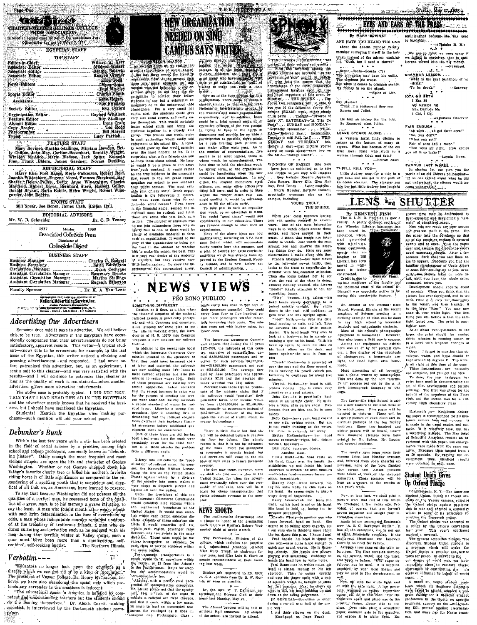|                                       | 1777 YEAR A                                             |                                |
|---------------------------------------|---------------------------------------------------------|--------------------------------|
| ان المسوكو سيسورسر 10 (198            | TOP STAFF                                               | Willard A. Kerr                |
| Editor-in-Chief                       |                                                         |                                |
|                                       |                                                         | Mildred Walker                 |
|                                       | Associate Editor _____________________                  | Beanie Baldwin                 |
| Associate Editor                      |                                                         | Kenyon Cramer                  |
| Service of the Service of the Service |                                                         | Ellen Fodd                     |
| News Editors ----------------         |                                                         | -----÷Myra <del>: Çr</del> ain |
|                                       |                                                         | <b>Baul Moseley</b>            |
|                                       |                                                         | Charles South                  |
|                                       |                                                         | Gene Rogers                    |
|                                       |                                                         |                                |
|                                       | Society Editor,                                         | . Eya Oxford                   |
|                                       |                                                         |                                |
|                                       | Organization Editor _______________ Gaylord Whitlock    |                                |
|                                       | Feature Editor __________________________ Roy Stallings |                                |
|                                       | Alumni Editor                                           | Irene Craig                    |
|                                       |                                                         |                                |
|                                       |                                                         |                                |
|                                       |                                                         | Lucy Parrish                   |

FEATURE STAFF

Mary Boyinet, J. FEATURE NYAPY, Wallings, Mirriam Bowden, Bet-<br>Mary Boyinet, Martha-Stallings, Mirriam Bowden, Bet-<br>J. Chilfon, John May, Carlton Busenhart, Dorothy Wright,<br>Winsion McAddon, Marie. Bledses, Jack Spear, Kenn **REPORTORIAL STAFF** 

REPORTORIAL STAFF (Red Hanss, Mobert Reid, Lauring Witterborn, Eugene Alassi, Frances Shepherd, Kay<br>Juanita Witterborn, Eugene Alassi, Frances Shepherd, Kay<br>Shafér, Relen: Fulley, Betty, Anne Winegarder, Charles<br>Mayfield, garner, John Rogers.

SPORTS STAFF<br>Bill Spear, Joe Boren, James Cash, Harlan Hall. EDITORIAL ADVISORS

Dr. C. D. Tenney Mr. W. B. Schneider  $1037$ Member 1938

Pissocialed Collegiate Press

Distributor-of Collegiate Digest

| BUSUNLOO STAIFF                      |                    |
|--------------------------------------|--------------------|
|                                      |                    |
|                                      |                    |
| Circulation Manager                  | Doris Cochran      |
| Assistant Circulation Manager        | Rosemary Druck     |
| <b>Assistant Circulation Manager</b> | Martha Stalling    |
| Assistant Circulation Manager        | Eugenia Etherton   |
|                                      |                    |
| Faculty Sponsor ________________     | Dr. K. A. Van Lent |

National Advertising Service, Inc.

FINISHER PRESENT ENGINEERING

## **Advertising Our Advertisers**

Someone once said it pays to advertise. We still believe to be true. Advertisers in the Egyptian have occasionally complained that their advertisers in the Egyptian have occasionally complained that their advertisements do not bring satisfactory, apparent results. This writer—a ent-knows this to be erroneous; for example, in the last issue of the Egyptian, this writer noticed a cleaning and pressing advertisement—and responded. I had never before patronized this advertiser, but, as an experiment, I sent a suit to this cleaner—and was very satisfied with the results-and I will continue to patronize this cleaner as long as the quality of work is maintained-unless another advertiser offers more attractive inducements.

The above case is probably typical. I DID NOT MEN-TION THAT I HAD READ THE AD IN THE EGYPTIAN and the advertiser merely knows that he received the business, but I should have mentioned the Egyptian.

Students! Mention the Egyptian when making purchases-such mention will aid your school paper.

#### Debunker's Bunk

Within the last few years quite a stir has been created the field of social science by a practice, among high school and college professors, commonly knows as "debunk-<br>ing history". Oddly enough the most frequent and most vicious attacks are upon the life and character of George vietnos autores are upon una una autores de propia de Mashington. Whether or not George chopped devoir historic rather's favorite cherry tree or killed his mother's favorite riding horse is of little significance as compar gendering of a scoffing youth that is suspicious and skeptical of all that we, as Americans, have learned to reverce.

To say that because Washington did not possess all the qualities of a perfect man, he possessed none of the qualities of a great man, is to his memory a grave injustice, to say the least. A man who fought month after weary month<br>with such grim determination in the face of overwhelming odds, a man whose indomitable courage remained undaunt-<br>ed at the treachery of traitorous friends, a man who endured suffering and privation such as he endured with his men during that terrible winter at Valley Forge, such a man must have been more than a domineering, selfcentered, self-seeking egotist. -The Northern Illinois.

## Verbatim - - -

"Educators no longer look upon the emotions as a discusse which we can get rid of by a kind of inoculation."<br>The president of Vassar College Dr. Henry McCracken, believes we have also abandoned the social code which pretends any surrender to the emotions is indecent.

 $\Gamma$ 

"The educational spoon in America is hangled by competent and understanding teachers but the students should do the feeding themselves." Dr. Alexis Carrol, ranking scientist, is interviewed by the Dartmenth student newspaper.

## NEW ORGANIZATION **NEEDED ON SINU CAMPUS SAYS WRITER:**

**EXIMALITON MCADOO**  $\begin{minipage}{0.9\textwidth} \begin{tabular}{|c|c|} \hline \textbf{2.7} & \textbf{2.8} & \textbf{2.8} & \textbf{2.8} & \textbf{2.8} & \textbf{2.8} & \textbf{2.8} \\ \hline \textbf{2.8} & \textbf{3.8} & \textbf{3.8} & \textbf{4.8} & \textbf{4.8} & \textbf{4.8} & \textbf{5.8} & \textbf{6.8} \\ \hline \textbf{3.8} & \textbf{4.8} & \textbf{5.8} & \textbf{6.8} & \textbf{6.8} & \textbf{7$ exploration. The material conditions of the stress conditions of the system of the system should certainly found that the system of the system of the system of the system of the system of the system of the system of the sy be the true holdover in the memories

that result in the old grads recon tower and one of the control of the most vertical and the property equilibrium is the field pair of any control of the field of the field of pair which is also to be able to the bulk of the bulk of the bulk of the pair of ending our school to new studnets

imprison make and selected the majority of students, but they receive very of students, but they receive very little encouragement, To show the imprimate of the majority جمجمج NEWS VIEWS

PRO BONO PUBLICO . . road's carry less than 15 her cent of roads carry ieas than 19 per cept of<br>their passenger capacity! They could<br>carry from four to five hundred per<br>eent nore passengers without mater-<br>iabl increasing their costs. The sola-<br>ton rests not with higher rates, but<br>

 $\begin{tabular}{l|c|c|c} \hline \textbf{3.4} & \textbf{5.5} & \textbf{PRO BON} \\ \hline \textbf{SOMETHING DIFFERENT} & \textbf{1.5} \\ \hline \textbf{1.6} & \textbf{1.7} \\ \textbf{1.7} & \textbf{1.8} \\ \textbf{1.8} & \textbf{1.8} \\ \textbf{1.9} & \textbf{1.9} \\ \textbf{1.9} & \textbf{1.9} \\ \textbf{1.9} & \textbf{1.9} \\ \textbf{1.9} & \textbf{1.9} \\ \textbf{1.9} & \textbf{1.9} \\ \text$ the financial situation of the national<br>ralitoad system is practically paraly-<br>ad, and with Congress and operators,<br>alike, groping for some plan to put<br>the ralis in working order, the lutro-<br>duction of H. R. 10570 into Con

nânce.<br>In additiou to the recent rate which the Interstate Commerce Com-<br>mission granted to the operators so that they could meet increased costs of labor and material, the railroads<br>are now seeking more RFC loans to are now seearing more to found to the method of the method of the method of the proposals are method point of these proposals are method with the proposals are method with the proposals are method with the proposal of the meet current extenses and also per

from a differnet angle

Diletty, this bill calls for the "post-<br>alliation" of railward rates. It is spointed and the formulation of<br>the Homorable William Lenne,<br>these the identical States and Diletted States and Condition of the control of<br>every

Under the trovisions of this bill<br>the Interstate Commerce Commission would establish ainc regions within the continental houndaries of the<br>United States. It would also estab-United Sates. It would also establish that the state of the state of the state of the state of the state of the track of the state of the state of the state of the state of the state of the state of the state of the state

the same region. transportation in a conclusion with the spin of the state of the region of  $\frac{1}{2}$  is anywhere with the region of  $\frac{1}{2}$  is a computed to the property of the region of  $\frac{1}{2}$  is computed that is a

To the pueble const. Rates for steep-<br>the computations would be experimed above the correspondingly low,<br>correspondingly low, the predict corresponding for the property of the<br>growth of transportation economics. See growt

executive different of the specific of the set of the set of the set of the set of the difference of participation as possible, there might components and proying for all when  $\epsilon$ , the value of participation as possible, there are the limiting each student to the number of representatives, five assume to be seen as to be most bigited, three of whom would be t

avoid conflict. It would be advantaged<br>consisted in the offices early<br>tion would be an education in itself.<br>The social "goal through the set of the social" "The social" "goal times"<br>considerably to our education. These<br>cor

Amay or the above ideas are moved as a NYA Rest<br>dent. School which will acconodate<br>thirty youths here this summer, and a plan of awards for extra-curricular activities which has already been approved by the Student Council, Facul-<br>ty Senate, and is now before the<br>Council of Administration, and is now before the ÷  $\overline{\cdots}$ 

paid by these passengers was approx

There is little doubt but that the

The day may come, however, when

Cinited States, for when the governess tor when the own<br>mout eventually takes over the own<br>ership of the rails, here will be<br>basis for cheap transportation the<br>yields adequate revenue to the ope

The between the department held a disnger in honor of the graduating math majors at Renfro's Bakery Wed-

Scalors are requested to get their<br>N. E. A. Journals from Dr. D. W. Mer-<br>win as soon as possible,

Dr. and Mrs. W. P. Dallmann en-<br>Iortained, the German Club at their<br>home last Monday, May 23.

The Alumni banquot will be held at<br>Anthony Hall tomorrow. All alumni<br>of the school are invited to attend.

nosday night at seven o'clock.

collogo, which includes the p

dis

imately \$2.26 and the average

tance traveled was 7314, miles

crease tremendously

revenue.

**NEWS SHORTS** 

.<br>Tyle – voek's – contribuitons

.<br>سەپە<sub>ت</sub>ىرىنىڭ

 $\frac{1}{2} \frac{1}{2} \frac{1}{2} \frac{1}{2} \frac{1}{2} \frac{1}{2} \frac{1}{2} \frac{1}{2} \frac{1}{2} \frac{1}{2} \frac{1}{2} \frac{1}{2} \frac{1}{2} \frac{1}{2} \frac{1}{2} \frac{1}{2} \frac{1}{2} \frac{1}{2} \frac{1}{2} \frac{1}{2} \frac{1}{2} \frac{1}{2} \frac{1}{2} \frac{1}{2} \frac{1}{2} \frac{1}{2} \frac{1}{2} \frac{1}{2} \frac{1}{2} \frac{1}{2} \frac{1}{2} \frac{$ and loyal r<br>attrution athution. The applitude of the state of the state of the state of the state of the state of the color of the color of the color of the color of the color of the state of the state of the state of the state of the state of coming [EXAM) week, citylet chemic control and the capital from Party Capital Prince of Party N. The Poster Party (2001) The Party (2001) (2001) The Party (2001) (2001) (2002) (2002) (2002) (2002) (2002) (2002) (2002) (20  $\cdots$ 

WINNERS OF PASSES this term<br>have been as unlimited as to stee and design as you imagined in the<br>method of the steep relations of the steep in the steep in the steep in<br>the steep relations of the steep steep in the steep st practically everyone else on the

practically  $\frac{1}{2}$  campus, including YOURS TRULY,

THE SPHINX.

When your class isometric and the series were series when you can ansied the series were wears the series were the series of the series of the series of the series of the series of the series of the series of the series o structor with her constant attention.<br>Then she looks behind her to see

what the rest of the class is coing.<br>
Thother state and the diverte system of the state of the state of<br>  $\frac{1}{2}$  and  $\frac{1}{2}$  and  $\frac{1}{2}$  and  $\frac{1}{2}$  and<br>  $\frac{1}{2}$  and  $\frac{1}{2}$  and  $\frac{1}{2}$  and<br>  $\frac{1}{2}$  and  $\$ what the rest of the class is doing

look at a book-no. he is merely amining a spot on his hand. With his animing a spot on its name. With this<br>head up again, he rests his chin on<br>his hand, elbow on the desk, and<br>knees against the seat in front of

The Interstate Counterce Commission<br>10.1 and June 12, except that during the 10 years are relations of the solution<br>1123-1534, the railtons of commission, carrier relations of the scatter<br>of the 2.539.88.900 passes and re "Dutch" Heatze--he is sprawled all<br>over the seat and the floor around (i.<br>He is sucking his rencil--which per-<br>formance he continues for about five minutes

seldom moving. Sho is either very<br>attentive or a good actress.

attentive or a good actress.<br>John May-the is practically hort-<br>zontal in an upright chair. He serib-<br>bles a little, cfiin on his chest. Daydreams then get him, and he is soon .<br>nxleet

Betty Cox-cheves gum, head cocket<br>to one side, writing uotes. But she<br>is not really thinking as she writes.<br>Her mind is evidently far away.<br>Elther MeChambridge – her head<br>noves constantly---right, left, right-<br>forward, hac

There is little doubt but that the<br>full matrix in the defected before it reaches<br>the floor for debate. The slimple<br>reason is that it is too far advanced<br>of the times. From the standpoint<br>of consolines it sounds logical, bu Another class.<br>
(with Smith---His head resis on<br>
(with Smith---His head resis on<br>
another with mouth. He<br>
straightens up and forces his head<br>
backward to stretch the neck muscles we shall see just such a plan in the<br>United States, for when the govern--scratches head-assumes former po sition immediately

silon humediately.<br>
Stanley Hays-leans forward, bit,<br>
ing bis units, when his chin rests on<br>
this hand. He seems eager to absort<br>
every drop of knowledge.<br>
Nis hand. He seems eager to absort<br>
ward, but his headd is not on

I am sure of the inhelion grave about the land side of most part and in the solution of the state of most in the one of the most of the land is the state in the land of the land side in the land side of the land land in t The Professional Division of the equines the distributional statements the presence and calculational statements of the Ruby Trouti as chairmap for next year, and Miss Luhn R. Clark as senate representative at their most-<br>in senate representative at their

1934 is almost resting on his left<br>ihoulder. Then he comes upright of schasors which pe proment to cress<br>of schasors which pe proment to cress for that purpose. Next he chews on<br>what is fert, his head bobbing up and<br>down as the biling progresses.<br>IN GENERAL-Sometime or other

a reriod, over half of the jam ple will:<br>1. put their elbows on the desk.<br>1. put their elbows on the desk.<br>(Confining on Page Four)

-**EYES AND EARS ON THE PRESS COLLEGE** 

mart & Anton a Fully, May 27, 1988 4.

**IOTA NO BETA** 

I Eta PI<br>My Gamma Nu<br>She Dambda Me

I Chi, I Chi,

 $\sim 10^{-10}$ **EAIR ENOUGH** 

 $-$ (Thenks B. N.)

 $-$ Cateway

-Augustana Observer.

المقاف GRAMMAR LESSON....<br>"What is the pest participle of to<br>"drift." To be drunk."

 $\lambda=2$ 

By MARY BOVINET and laughed because she was used AND HAVE YOU HEARD THE ONE about the absent minded faculty<br>member surveying himself in the hair We use to this we were crazy if<br>we failed to ourselves, that is until<br>Bersen moved into the big money.<br>- Newsreel. brush instead of the mirror, exclaim-. . .

referate Contactor Corner of the Allis, The Doctorian Corner and State of the Contactor of the State State of the State State State State State State State State State State State State State State State State State State

 $-$ Spies of Life. Dry Humor:<br>Twas in a restaurant they met.<br>Romeo and Juliet.

He had no money for the doot.<br>So Romeced what Juliet. LEAVE STEAKS ALONE...

A western jurist finds deting to reduce at the bottom of many diverges. What has become of the old

time loyal mate who stuck to a

THIS'LL KILL YOU-Little Audrey went for a ride in a<br>kgw boat, and she got in the path of

**FAIR ENOIGH .**<br> **FAIR ENOIGHT.**<br>
"No. you denty."<br>
"No. you denty."<br>
"That you denty."<br>
Pair of sees and a razor."<br>
"You wise all trickly. How comes<br>
you all is so lucky?"<br>  $\begin{array}{c} -\Delta y \sin \lambda \cos \lambda \\ -\Delta y \sin \lambda \sin \lambda \\ -\Delta y \sin \lambda \cos \lambda \$ In closing let me give you the<br>words of an old Chinese philosopher-<br>"If no one talked about what he did not understand what what we do an ocean steamer. The steamer ran<br>into her hut little Audrey just laughed

Development should require about

light fooled you. The print is much

All the print should be washed<br>thirty minutes in running water, or<br>in a bowl with frequent changes of

nier.<br>Oops! I forgot to mention that de-

Oope! I forget to motion that de-<br>yeloper, water, and hypo should be kept around for degrees F. Tap we<br>term of the parameter of the parameter of the start of the start<br>interval complete, but you get the dea.<br> $T_0$  and the

Club, and the second was for a Uni

Eastman's new Kodabron Entare

Example To the September of the September of the state of the state of the state of the state of the state of the state of the state of the state of the state of the state of the state of the state of the state of the sta

results

velopment time, identical<br>were obtained in each case,

**Student Union Gives** 

versity High chemistry class.

gives now.<br>After about twenty-minutes in the

lighter now

water

## LENS and SHUTTER

The same time with the same of the same of the same of the same of the same of the same of the same of the same of the same of the same of the paper into the same of the same of the same of the same of the same of the same

Horrell, has been moved in, while<br>moved in, while<br>more is being constructed Kennen Finn 

the rechnical staff of the school Development should require about<br>specifying the stock of specific specific products. Then you think that<br>it is please if our contempts and is too<br>that, rises it is welcomently be the specific specific specific to<br>the hypot recomment state of the school. Bridgell was especially active in second.

An exhibit of the Normal High School, Normal, Illinois at the recont Academy of Science meeting is a<br>striking example of what can be done

striking example at what can be door<br>a interest to any high school by interested and catturing<br>the same of the school's photographic stations are concerned to hone-made. However, a<br>the school's photographic the school of t made.

mate.<br>
Was a photo printed by mimeograph.<br>
Was a photo printed by mimeograph.<br>
This was done by the new "Durman-<br>
Print" process put out by the A. B.<br>
Dick Mimeograph Company of Chi-<br>
Dick Mimeograph Company of Chi-

The Carterville High School is and ing a new feature to the next issue of<br>its school paper. Five pages will be devoted to pictures. There will be a group picture of each class and ina group picture of each class and the<br>dividual pictures of the ten foculty<br>members Since two hundred and<br>eighty papers will be issued, nearly<br>four thowand pictures have been<br>principl by Mr. Spires, Mr. Lauder<br>and sevoral s

The varsity gym team made their<br>cinema debut last Monday evening,<br>and, inferred from Joe's cheerful expression, none of the boys flunked pression, note of the boys current est. Action pictures<br>were taken of work on the mat and<br>upparatus. Those pletures will be<br>praised and approved of the results of<br>this year's wark.

Up Oxford Pledge The Contract of the Contract of the Contract of the Contract of the Contract of the Contract of the Contract of the Contract of the Contract of the Contract of the Contract of the Contract of the Contract of the Contract o Now, at long last, we shall with a<br>picture from that roll of (lim which<br>we developed a few weeks ago. Pro-<br>vided, of courso, that you haven't<br>grown imputent and sought your in-

Frown imputed and sought your in-<br>formation elaywhere.<br>Again let me recommond Eastman's<br>rew "A.B.C. Darkrown Outflit", "It was<br>has all the openitials, and is not out<br>of sight, funnantly suggishes. He the<br>castly-read direct

there is, no need for falling.<br>
"Arrange these paus on the table be-<br>
force, you. The first contains develop-<br>  $m_1$ , the, second, water, and the third.<br>  $m_2$ , the, second, we see . It is simplicated<br>
and hypp, as before

The Oxford pleaks was accepted as  $\frac{1}{2}$  in the union is convention<br>in noise  $\frac{1}{2}$  and  $\frac{1}{2}$  y the union is convention<br>murked a reversal. This year's continuent<br>murked a reversal,  $\frac{1}{2}$  where the present re well.<br>Now, off with the white light, and Now. off with the witter light, and<br>on with the sade light. A lay power bulb, wrighted in yollow trip<br>writer paper. Will do in this case. Cut the population of<br>paper, will do in this case. Cut the population of<br>printing fr

A pane on C. North starting problem in the length of the starting of a state of a starting for a starting of the starting of the starting of the starting of the starting properties are proportional to the starting properti

esce....<br>A nanet on Negro student prob-

kness against ...<br>him.<br>"Dutch" Hentze--he is sprawled all<br>"The contrated the floor around it. mates.<br>Virginia Harlan—her bead is still. cago.

tance traveled was 730g minst<br> $\mathbf{W}^{(n)}$  minst appear to the measure claim that if there is of the measure claim that<br> $\mathbf{H}^{(n)}$  is railroads would "postalize" their railroads would "postalize" their<br>heavy vould be re Betty Cox-chews gum, head cocket

seems to be taking notes eagerly, but<br>I am sure she is thinking more about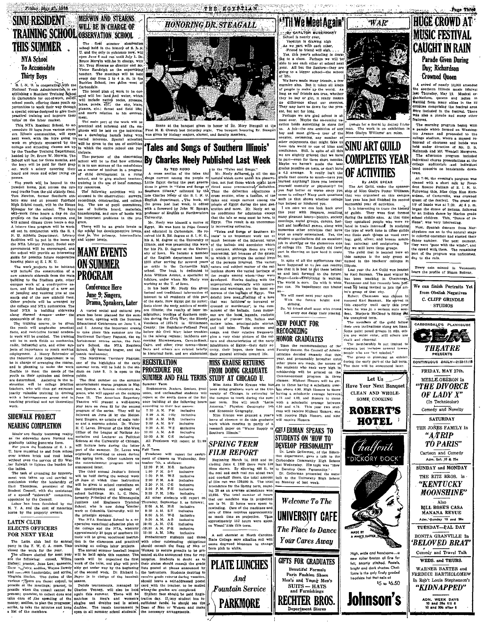#### **MERWIN AND STEARNS SINU RESIDENT** WILL BE IN CHARGE OF **TRAINING SCHOOL OBSERVATION SCHOOL THIS SUMMER**

Friday, May 27, 1988

## **NYA School** To Accomodate **Thirty Boys**

S. I. N. U. is cooperating with the<br>National Youth Administration in ee Mational Youth Administration, in each<br>splitter in the splitter of the conduct of the conduction of the conduction<br>in Carbondale for out-of-work, conduction<br>portunities to work their way through<br>product of the splitter of

headed by Dr. Bruce W. Merwin. The<br>School will last for three months, and the hove will be paid for their undect. work a salary covering their

The vouth will be housed in the

The youth will be housed in the particular control and the road tracks from the old attackies from Newton, former Southern after Helft Petro Reference of the House Manusch High School conclu, will be the House Night Night projects on the college campus, and will attend clusses three hours a day. Will attend classes three bours a day.<br>A leistre time program will be Work-<br>A leistre time program will be W.<br>C. N. U. Athletic Department. Library<br>Radlittes will be put in the home by<br>the NAZ Library Project. Social setti

housing plans at S. I. N. U. The work projects to be initiated UN'DUININE .<br>cempus ous work of a constructive na ture, and the building of a new set of jumping and valuiting pits at the<br>south end of the new athletic field.<br>Other projects will be arranged by<br>the college and NYA authorities. The<br>local NYA is building sidewalks<br>along N

The training course, to be given<br>the youth will emphasize practical<br>facts, and restrictive formal academfacts, and restrictive formal academic<br>few to the training in the training<br>will be in such fields as mechanics,<br>raide, finducting the raid other sub-<br>general arts, and other sub-<br>general proportional and the finduction of<br>

be in charge of arranging the course,<br>and is planning to make the work,<br>flexible to meat the needs of the<br>youth as their aptitudes and desires<br>are determined, Assisting in the in-<br>struction will be college practice<br>dechers

## SIDEWALK PROJECT **NEARING COMPLETION**

Ideals' are finally becoming really sidewalks down Normal ar

as the sidewalks down Normal are<br>gradually taking generete form.<br>For years the suddents of S. J. N.<br>U. have sumbled to and from school<br>over broken brick and mud holes<br>without even the service of Sir Wat-<br>the laddsh to ligh the ladies

The task of crusading for improve The task of cruating for improvement was taken up and carried to conclusion under the leadership of Earl Thomwoon, president of the Sinder Council, with the assistance of a special "sidewall" connities, appointed by the C

#### **LATIN CLUB ELECTS OFFICERS** FOR NEXT YEAR

The Latin club had its annual<br>party in the Y. W. C. A. room. This<br>cloud the work for the year. The offerer decided for next year.<br>The officer decided for next year.<br>The filtelying: consul, William Hard is interesting prope and *isomeen* Lauderdale; and scriba, of the second week. Dr. Richard L. Virginia Harlan. The duties of the Beyer is in charge of the baseball VIRTHIN HERTER, The duties of the passengly and conserved and a point of the basebolic terms of the meetings. Therefore, to be mainled the meetings: practice of the meetings: practice of the meetings: practice of the meet

The first summer observation<br>school held in the history of S. N. N. school held in the historic row, will be the school held in the school of the Barr and the Barr and the Barr and the Barr and Harr and Harr and May 1. Dr. Troy Slearns as director ond Mr. Troy Slearns and the vector of th

Carbondsle.<br>The broad plan of work to be cov The formulation of work to be completed with be: land and water, which<br>will include native rocks, streams,<br>lakes, ponds, edd, car and and water, which<br>planets, etc.; forest and field life;<br>and man's relation to his environ

and mann<br>  $m$  mann part of the work will be entered as the mann and the entered<br>
precised and informal and the enterpresent<br>
phases will be laid on the individual<br>
as a everyoping human being with a<br>
"van to the use of ac This will be more than the conduct  $\frac{1}{2}$ . The main part of the work will be the first conduct School, to ac-<br>practical and the first conducted and the set conducted and the set of the metallical solution<br>metallical wi

lightate.<br>The purpose of the observation<br>sciool will be to find how efficience<br>science of the nucleidors<br>as a center of interest in a program<br>as a center of interest in a program<br>of child development in a rural<br>school, and

ty resources.<br>The following activities will The following activities will had steerad in the observation: surveys, recordings, constructing, and collections, the use of pupil committees, the balletic hourd, materials, under the hunder of balletic hours, the importan

gram. gram.<br>There will be no grade levels in<br>the school but developmentive levels<br>that is, the primary, intermediate<br>and upper levels.

## **MANY EVENTS ON SUMMER Conference Here** June 9; Singers, Drama, Speakers, Later

A varied social and cultural pro<br>ram has been planned for the sum<br>ter term, opening with the Summer Educational Conference on June 7, 8 and 9. Among the important events to take place this summer are the

In the place this summer are the summer of the case of a bending the state of the state of the state of the state of the state of the state of the state of the state of the state of the state of the state of the state of public.

The first number on the summ! The first number on the summer<br>order in Mightar outlet on the simulation of the state of the summer<br>down of the simulation of the summer of the computer<br>down of the American Repertory<br>Theatre will present a well-known<br>phy

program of the series. They will be<br>related for the Heidel-berry Singera, an octotter of mate voltage<br>as and a soprano galobit. Dr. Walter<br>as and a soprano galobit. Dr. Walter<br>H. C. Laves. Director of the Mid-West<br>Office o

the spring term. Other numbers on<br>the entertainment program will be announced later.

announced later.<br>The thrid annual Janitor's School<br>will be held during the second week<br>of June at which time instruction<br>will be given to school custodians on<br>the manitenance and up-keep of<br>the manitenance and up-keep the manitenance and up-keep of school buildings. Mr. L. C. Helm<br>formerly Principal of the Minneapolis Janitors and Engineers Training<br>who is now doing similar School, work at Columbia University, will be

work at Columbia University, will be<br>the principle speaker.<br>The NYA Resident School is a co-<br>operative vocational education plan of<br>the college and the NYA, whereby<br>approximately 30 boys of southern Ill-<br>too in the classro

training on college labor projects.<br>The annual summer baseball league The annual summer basebull lengues<br>
(will be held again this summer. The<br>
team's will be organized the first<br>
week of the term, and play will prob-<br>
abiy get under way by the heginning<br>
of the second week. Dr. Richard L.



THE FOYPTIAN



Scene at the banquet given in honor of Dr. Mary Steagull at the banquet sented and the line of the M. E. Church last Saturday night, The banquet honoring Dr. Steagull at the scale of the Steagull and faculty members.

## 'Tales and Songs of Southern Illinois' By Charles Neely Published Last Week

for his Ph. D. degrees at the Universe [1], continues, at<br>hough these are overy] the shall of the behavior interesting, but because of the getters<br>is sity of lows. He hecanne a member interesting, but because of the gette

## centumg Smawwarenown, Care-un-Rockel inhabitants of Egypt-their daily<br>Cairo. and other river towns-these inhabitants of Egypt-their daily<br>facts and others are related briefly itsity, their hopes, their fears, in historical **REGISTRATION PROCEDURE FOR** SUMMER AND FALL TERMS STUDY AT CHICAGO U.

.<br>Summer Term Soummer serm<br>Sophomores, Juniors, Seniors, grad<br>uates, and unclassified students will<br>report at the south doors of the Sci-<br>ence building at the following hours<br>cree building at the following hours

Example 10 and 10 and 10 and 10 and 10 and 10 and 10 and 10 and 10 and 10 and 10 and 10 and 10 and 10 and 10 and 10 and 10 and 10 and 10 and 10 and 10 and 10 and 10 and 10 and 10 and 10 and 10 and 10 and 10 and 10 and 10 a inclusive inclusive<br>Inclusive {nelusive<br>inclusive All Freshmen will report at 11

A. M.<br>A. M.<br>Fall Term Will report for assign Freshmen will report for assign ment of classes on Wednesday, Se

tember 7th, a stollows 12:30 P.M. M-R inclusive 12:30 P.M. M.R.<br>1:00 P.M. S.V<br>2:00 P.M. W.Z<br>2:00 P.M. A.B<br>2:30 P.M. C.B<br>3:30 P.M. F.H<br>3:30 P.M. F.H<br>3:30 P.M. T.H<br>2:100 P.M. T.H inclusive<br>inclusive<br>inclusive<br>inclusive<br>inclusive inclusive will report Thursday, September 3, as follows: 8:00 A.M. M-R<br>8:30 A.M. S-V inclusive inclusive

3:30 A.M. S-V inclusive<br>9:30 A.M. A-B inclusive<br>9:30 A.M. A-B inclusive<br>10:00 A.M. C-B inclusive<br>10:20 A.M. F-H inclusive<br>10:20 A.M. F-H inclusive<br>Frobationary stridents and those<br>with other outstanding and the will be with other outstanding obligation Women to secure premits to be ented at the announced

senten an-the announced time for reg-<br>istration. Students in doubt as to<br>their status should consult the grade<br>lists posted at places announced by<br>the instructors. Students desiring to receive grade reports during vaca

**PETH We Meet Again'** 

chool is nearly over,<br>Vacuion is drawing nights we part with each other,<br>Friend to friend will sigh. Fest, this year's schooling is draw-<br> $\hat{f}$  is a close. Perhaps we will be able to see each other at school next<br>year. All tut the Sehrors--they are<br>year. All tut the Sehrors--they are<br>going to a ligger school---the scho

we.<br>We have made many friends, a feu memies also. But it takes all kinds<br>of people to make up the world. As<br>ong as our friends are true, whether they be boy or girl, it really makes<br>they be boy or girl, it really makes<br>no difference about our enemies

They may have us down for the present, but not for long.<br>
Perhaps we are glad school is almost over. Maybe the on-coming values<br>
most over. Maybe the on-coming raction holds something in there fore the<br>
us. A job---the on  $_{\rm contriv}$  submitter one number country, swimming, any number of<br>color enjoyments that might fake use<br>from this world to one of bliss and<br>restfulness. Still, in spite of all this<br>we are slightly grieved that we have<br>to part—even for three that when the b

a 4.5 average. It really isn't the<br>grade that counts so much—have von

**EXERCISE TREED FOR THE CONSULTER CONSULTER TREE SIGN TREED IN A cross section of the test of the "Tele same Songs," and the metal of the spectral of the past celosion in the metal of the spectral interest in the past and** 

we will meet next year again<br>With the future bright and

with the future bright and<br>shining,<br>So, 'til friend shall meet with friend<br>Let every one delay their pineing,

#### **NEW POLICY FOR RECOGNIZING HONOR GRADUATES**

Miss Anna Mart Christman Control Control and Miss Anna Marte Christian Christman Control Christman Control Christman Christman Control Christman Christman Christman Christman Christman Christman Christman Christman Christm with a scholastic average between<br>4.50 and 4.74. This year two students will receive Highest Honors; one Miss Krause was granted a year<br>leave of absence to do this graduate will receive High Honors, and nin will receive Ho



of line run was 130,000 ft. The total<br>attendance for the Spring term, counting 25 as an average attendance was<br>13,650. The total number of bourse is<br> $13,650$ . The total number of bourse is  $10$ . 21 hours were spent in<br>tes care of films requires approxime as much time as projection. Thus<br>approximately 152 hours were spen on Visual Aids this term. The Place to Dance

A soil chemist at North Carolin State College says alkaline soil will



# **WAR**

or a mural by Sidney Fr man. The work is on exhibition<br>Miss Gladys Williams' art room.

**SINU ART GUILD COMPLETES YEAR** OF ACTIVITIES

Tonessee and has recently been por-<br>orea by being invited to join the artist's group of that city.<br>In the article of the succeed Karl Banaman. He selved in<br>succeed Karl Banaman. He selved in<br>this capacity until early this

his unexpired term. re unexprise series.<br>The members of the guild follow

The members of the guid follows the graph of the set of the solar part in<br>Some paint possible capacity of the star part in the capacity of<br>the star and charge of the star of the star of the star of the star<br>density of the

High, wide and handsome

new roller breton of fine fur

felt, smartly stitched. Pastels,

fonte is the only finely graded

Johnson's

\$5 to \$6.50

headsize hat that sells





Adm. Sunday 10 and 30c TUESDAY-PAL DAY BONITA GRANVILLE In

'BELOVED BRAT' Comedy and Travel Talk WEDS, and THURS.

WARNER BAXTER and FREDDIE BARTHOLOMEW In Rob't Louis Stephenson's "KIDNAPPED"

ADM. WEEK DAYS<br>10 and 25a till 6<br>10 and 30c after 6

## Dav: Richardson **Crowned Oueen**

Movement (QUOCH)<br>A crowd of nearly 10,000 attended<br>the southern Illinois mane featural<br>jaint-framework, May 130. Musical or-<br>gaint-framework (die) in the 22<br>gaint-framework (die) in the 22<br>counties comprising the featural

Page Three

**HUGE CROWD AT** 

**MUSIC FESTIVAL** 

**CAUGHT IN RAIN** 

Parade Given During

rentres.<br>
The morning program began with<br>
a parade which formed on Washington<br>
ton Avenue and proceeded to the<br>
college stadium, where a massed re-<br>
hearsal of chorness and bands was<br>
head under direction of Mr. D. S.<br>
Mel

The afternoon program included The directional program includes<br>follege auditorium presentations at the<br>college auditorium cand individues<br>band concerts on bandstands down- $\frac{1}{10000}$ 



GEU ERMAN SPEAKS TO

**Your Cares Away** 

and one-half times, the total amount<br>of Him run was 130,000 ft. The total **Welcome To The UNIVERSITY CAFE** 

ica or …<br>—their daily s

**MISS KRAUSE RETURNS** 

and Economic Geography.

**SPRING TERM** 

**FILM REPORT** 

**FROM DOING GRADUATE** 

cause dogwood blossoms to change